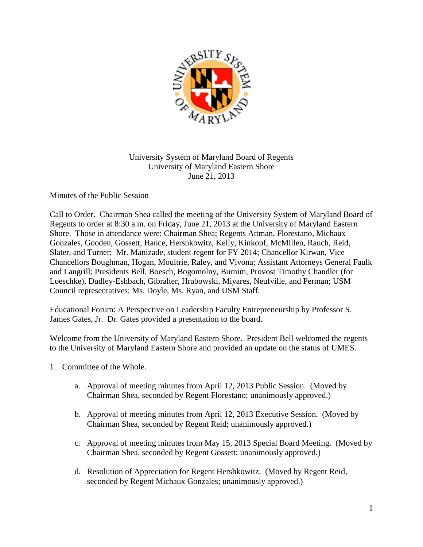

## University System of Maryland Board of Regents University of Maryland Eastern Shore June 21, 2013

Minutes of the Public Session

Call to Order. Chairman Shea called the meeting of the University System of Maryland Board of Regents to order at 8:30 a.m. on Friday, June 21, 2013 at the University of Maryland Eastern Shore. Those in attendance were: Chairman Shea; Regents Attman, Florestano, Michaux Gonzales, Gooden, Gossett, Hance, Hershkowitz, Kelly, Kinkopf, McMillen, Rauch, Reid, Slater, and Turner; Mr. Manizade, student regent for FY 2014; Chancellor Kirwan, Vice Chancellors Boughman, Hogan, Moultrie, Raley, and Vivona; Assistant Attorneys General Faulk and Langrill; Presidents Bell, Boesch, Bogomolny, Burnim, Provost Timothy Chandler (for Loeschke), Dudley-Eshbach, Gibralter, Hrabowski, Miyares, Neufville, and Perman; USM Council representatives; Ms. Doyle, Ms. Ryan, and USM Staff.

Educational Forum: A Perspective on Leadership Faculty Entrepreneurship by Professor S. James Gates, Jr. Dr. Gates provided a presentation to the board.

Welcome from the University of Maryland Eastern Shore. President Bell welcomed the regents to the University of Maryland Eastern Shore and provided an update on the status of UMES.

- 1. Committee of the Whole.
	- a. Approval of meeting minutes from April 12, 2013 Public Session. (Moved by Chairman Shea, seconded by Regent Florestano; unanimously approved.)
	- b. Approval of meeting minutes from April 12, 2013 Executive Session. (Moved by Chairman Shea, seconded by Regent Reid; unanimously approved.)
	- c. Approval of meeting minutes from May 15, 2013 Special Board Meeting. (Moved by Chairman Shea, seconded by Regent Gossett; unanimously approved.)
	- d. Resolution of Appreciation for Regent Hershkowitz. (Moved by Regent Reid, seconded by Regent Michaux Gonzales; unanimously approved.)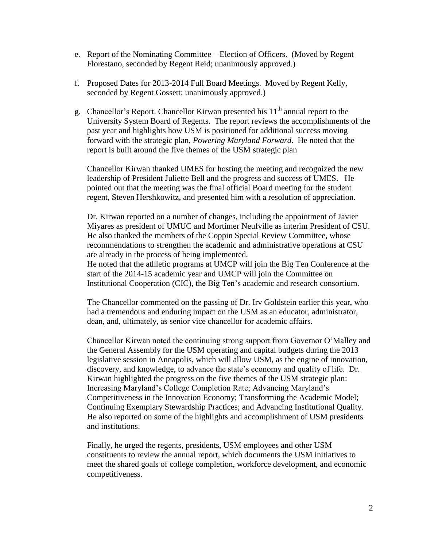- e. Report of the Nominating Committee Election of Officers. (Moved by Regent Florestano, seconded by Regent Reid; unanimously approved.)
- f. Proposed Dates for 2013-2014 Full Board Meetings. Moved by Regent Kelly, seconded by Regent Gossett; unanimously approved.)
- g. Chancellor's Report. Chancellor Kirwan presented his  $11<sup>th</sup>$  annual report to the University System Board of Regents. The report reviews the accomplishments of the past year and highlights how USM is positioned for additional success moving forward with the strategic plan, *Powering Maryland Forward*. He noted that the report is built around the five themes of the USM strategic plan

Chancellor Kirwan thanked UMES for hosting the meeting and recognized the new leadership of President Juliette Bell and the progress and success of UMES. He pointed out that the meeting was the final official Board meeting for the student regent, Steven Hershkowitz, and presented him with a resolution of appreciation.

Dr. Kirwan reported on a number of changes, including the appointment of Javier Miyares as president of UMUC and Mortimer Neufville as interim President of CSU. He also thanked the members of the Coppin Special Review Committee, whose recommendations to strengthen the academic and administrative operations at CSU are already in the process of being implemented.

He noted that the athletic programs at UMCP will join the Big Ten Conference at the start of the 2014-15 academic year and UMCP will join the Committee on Institutional Cooperation (CIC), the Big Ten's academic and research consortium.

The Chancellor commented on the passing of Dr. Irv Goldstein earlier this year, who had a tremendous and enduring impact on the USM as an educator, administrator, dean, and, ultimately, as senior vice chancellor for academic affairs.

Chancellor Kirwan noted the continuing strong support from Governor O'Malley and the General Assembly for the USM operating and capital budgets during the 2013 legislative session in Annapolis, which will allow USM, as the engine of innovation, discovery, and knowledge, to advance the state's economy and quality of life. Dr. Kirwan highlighted the progress on the five themes of the USM strategic plan: Increasing Maryland's College Completion Rate; Advancing Maryland's Competitiveness in the Innovation Economy; Transforming the Academic Model; Continuing Exemplary Stewardship Practices; and Advancing Institutional Quality. He also reported on some of the highlights and accomplishment of USM presidents and institutions.

Finally, he urged the regents, presidents, USM employees and other USM constituents to review the annual report, which documents the USM initiatives to meet the shared goals of college completion, workforce development, and economic competitiveness.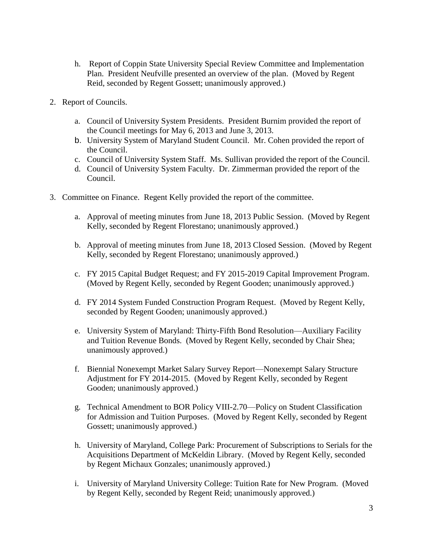- h. Report of Coppin State University Special Review Committee and Implementation Plan. President Neufville presented an overview of the plan. (Moved by Regent Reid, seconded by Regent Gossett; unanimously approved.)
- 2. Report of Councils.
	- a. Council of University System Presidents. President Burnim provided the report of the Council meetings for May 6, 2013 and June 3, 2013.
	- b. University System of Maryland Student Council. Mr. Cohen provided the report of the Council.
	- c. Council of University System Staff. Ms. Sullivan provided the report of the Council.
	- d. Council of University System Faculty. Dr. Zimmerman provided the report of the Council.
- 3. Committee on Finance. Regent Kelly provided the report of the committee.
	- a. Approval of meeting minutes from June 18, 2013 Public Session. (Moved by Regent Kelly, seconded by Regent Florestano; unanimously approved.)
	- b. Approval of meeting minutes from June 18, 2013 Closed Session. (Moved by Regent Kelly, seconded by Regent Florestano; unanimously approved.)
	- c. FY 2015 Capital Budget Request; and FY 2015-2019 Capital Improvement Program. (Moved by Regent Kelly, seconded by Regent Gooden; unanimously approved.)
	- d. FY 2014 System Funded Construction Program Request. (Moved by Regent Kelly, seconded by Regent Gooden; unanimously approved.)
	- e. University System of Maryland: Thirty-Fifth Bond Resolution—Auxiliary Facility and Tuition Revenue Bonds. (Moved by Regent Kelly, seconded by Chair Shea; unanimously approved.)
	- f. Biennial Nonexempt Market Salary Survey Report—Nonexempt Salary Structure Adjustment for FY 2014-2015. (Moved by Regent Kelly, seconded by Regent Gooden; unanimously approved.)
	- g. Technical Amendment to BOR Policy VIII-2.70—Policy on Student Classification for Admission and Tuition Purposes. (Moved by Regent Kelly, seconded by Regent Gossett; unanimously approved.)
	- h. University of Maryland, College Park: Procurement of Subscriptions to Serials for the Acquisitions Department of McKeldin Library. (Moved by Regent Kelly, seconded by Regent Michaux Gonzales; unanimously approved.)
	- i. University of Maryland University College: Tuition Rate for New Program. (Moved by Regent Kelly, seconded by Regent Reid; unanimously approved.)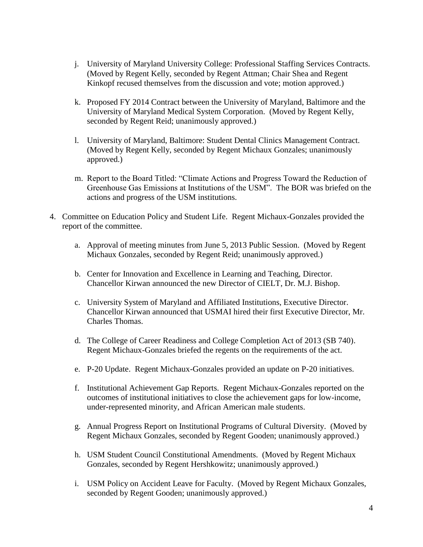- j. University of Maryland University College: Professional Staffing Services Contracts. (Moved by Regent Kelly, seconded by Regent Attman; Chair Shea and Regent Kinkopf recused themselves from the discussion and vote; motion approved.)
- k. Proposed FY 2014 Contract between the University of Maryland, Baltimore and the University of Maryland Medical System Corporation. (Moved by Regent Kelly, seconded by Regent Reid; unanimously approved.)
- l. University of Maryland, Baltimore: Student Dental Clinics Management Contract. (Moved by Regent Kelly, seconded by Regent Michaux Gonzales; unanimously approved.)
- m. Report to the Board Titled: "Climate Actions and Progress Toward the Reduction of Greenhouse Gas Emissions at Institutions of the USM". The BOR was briefed on the actions and progress of the USM institutions.
- 4. Committee on Education Policy and Student Life. Regent Michaux-Gonzales provided the report of the committee.
	- a. Approval of meeting minutes from June 5, 2013 Public Session. (Moved by Regent Michaux Gonzales, seconded by Regent Reid; unanimously approved.)
	- b. Center for Innovation and Excellence in Learning and Teaching, Director. Chancellor Kirwan announced the new Director of CIELT, Dr. M.J. Bishop.
	- c. University System of Maryland and Affiliated Institutions, Executive Director. Chancellor Kirwan announced that USMAI hired their first Executive Director, Mr. Charles Thomas.
	- d. The College of Career Readiness and College Completion Act of 2013 (SB 740). Regent Michaux-Gonzales briefed the regents on the requirements of the act.
	- e. P-20 Update. Regent Michaux-Gonzales provided an update on P-20 initiatives.
	- f. Institutional Achievement Gap Reports. Regent Michaux-Gonzales reported on the outcomes of institutional initiatives to close the achievement gaps for low-income, under-represented minority, and African American male students.
	- g. Annual Progress Report on Institutional Programs of Cultural Diversity. (Moved by Regent Michaux Gonzales, seconded by Regent Gooden; unanimously approved.)
	- h. USM Student Council Constitutional Amendments. (Moved by Regent Michaux Gonzales, seconded by Regent Hershkowitz; unanimously approved.)
	- i. USM Policy on Accident Leave for Faculty. (Moved by Regent Michaux Gonzales, seconded by Regent Gooden; unanimously approved.)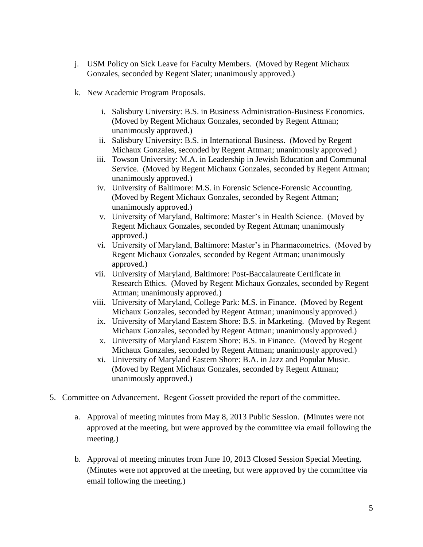- j. USM Policy on Sick Leave for Faculty Members. (Moved by Regent Michaux Gonzales, seconded by Regent Slater; unanimously approved.)
- k. New Academic Program Proposals.
	- i. Salisbury University: B.S. in Business Administration-Business Economics. (Moved by Regent Michaux Gonzales, seconded by Regent Attman; unanimously approved.)
	- ii. Salisbury University: B.S. in International Business. (Moved by Regent Michaux Gonzales, seconded by Regent Attman; unanimously approved.)
	- iii. Towson University: M.A. in Leadership in Jewish Education and Communal Service. (Moved by Regent Michaux Gonzales, seconded by Regent Attman; unanimously approved.)
	- iv. University of Baltimore: M.S. in Forensic Science-Forensic Accounting. (Moved by Regent Michaux Gonzales, seconded by Regent Attman; unanimously approved.)
	- v. University of Maryland, Baltimore: Master's in Health Science. (Moved by Regent Michaux Gonzales, seconded by Regent Attman; unanimously approved.)
	- vi. University of Maryland, Baltimore: Master's in Pharmacometrics. (Moved by Regent Michaux Gonzales, seconded by Regent Attman; unanimously approved.)
	- vii. University of Maryland, Baltimore: Post-Baccalaureate Certificate in Research Ethics. (Moved by Regent Michaux Gonzales, seconded by Regent Attman; unanimously approved.)
	- viii. University of Maryland, College Park: M.S. in Finance. (Moved by Regent Michaux Gonzales, seconded by Regent Attman; unanimously approved.)
	- ix. University of Maryland Eastern Shore: B.S. in Marketing. (Moved by Regent Michaux Gonzales, seconded by Regent Attman; unanimously approved.)
	- x. University of Maryland Eastern Shore: B.S. in Finance. (Moved by Regent Michaux Gonzales, seconded by Regent Attman; unanimously approved.)
	- xi. University of Maryland Eastern Shore: B.A. in Jazz and Popular Music. (Moved by Regent Michaux Gonzales, seconded by Regent Attman; unanimously approved.)
- 5. Committee on Advancement. Regent Gossett provided the report of the committee.
	- a. Approval of meeting minutes from May 8, 2013 Public Session. (Minutes were not approved at the meeting, but were approved by the committee via email following the meeting.)
	- b. Approval of meeting minutes from June 10, 2013 Closed Session Special Meeting. (Minutes were not approved at the meeting, but were approved by the committee via email following the meeting.)